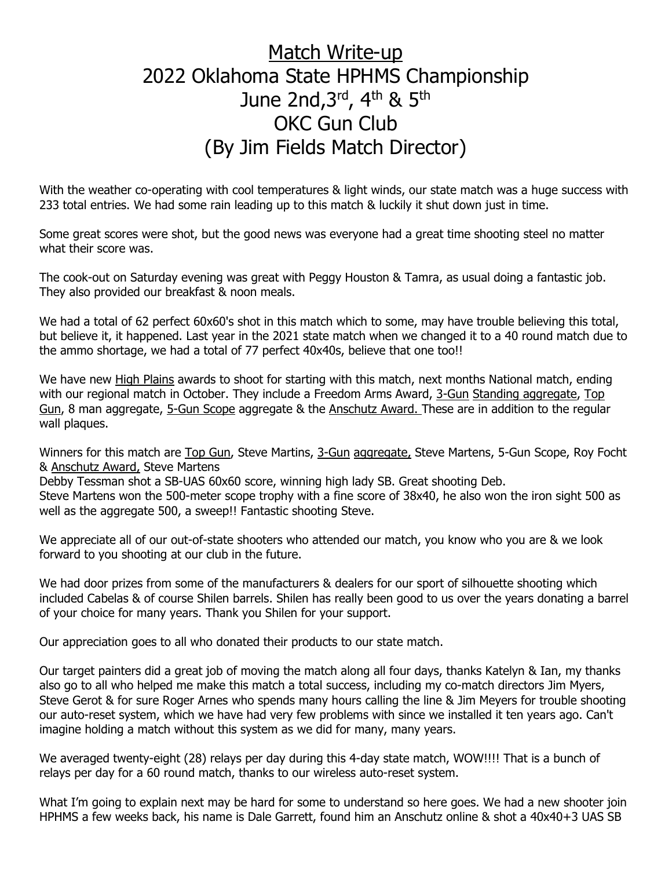# Match Write-up 2022 Oklahoma State HPHMS Championship June 2nd, 3rd, 4th & 5th OKC Gun Club (By Jim Fields Match Director)

With the weather co-operating with cool temperatures & light winds, our state match was a huge success with 233 total entries. We had some rain leading up to this match & luckily it shut down just in time.

Some great scores were shot, but the good news was everyone had a great time shooting steel no matter what their score was.

The cook-out on Saturday evening was great with Peggy Houston & Tamra, as usual doing a fantastic job. They also provided our breakfast & noon meals.

We had a total of 62 perfect 60x60's shot in this match which to some, may have trouble believing this total, but believe it, it happened. Last year in the 2021 state match when we changed it to a 40 round match due to the ammo shortage, we had a total of 77 perfect 40x40s, believe that one too!!

We have new High Plains awards to shoot for starting with this match, next months National match, ending with our regional match in October. They include a Freedom Arms Award, 3-Gun Standing aggregate, Top Gun, 8 man aggregate, 5-Gun Scope aggregate & the Anschutz Award. These are in addition to the regular wall plaques.

Winners for this match are Top Gun, Steve Martins, 3-Gun aggregate, Steve Martens, 5-Gun Scope, Roy Focht & Anschutz Award, Steve Martens

Debby Tessman shot a SB-UAS 60x60 score, winning high lady SB. Great shooting Deb.

Steve Martens won the 500-meter scope trophy with a fine score of 38x40, he also won the iron sight 500 as well as the aggregate 500, a sweep!! Fantastic shooting Steve.

We appreciate all of our out-of-state shooters who attended our match, you know who you are & we look forward to you shooting at our club in the future.

We had door prizes from some of the manufacturers & dealers for our sport of silhouette shooting which included Cabelas & of course Shilen barrels. Shilen has really been good to us over the years donating a barrel of your choice for many years. Thank you Shilen for your support.

Our appreciation goes to all who donated their products to our state match.

Our target painters did a great job of moving the match along all four days, thanks Katelyn & Ian, my thanks also go to all who helped me make this match a total success, including my co-match directors Jim Myers, Steve Gerot & for sure Roger Arnes who spends many hours calling the line & Jim Meyers for trouble shooting our auto-reset system, which we have had very few problems with since we installed it ten years ago. Can't imagine holding a match without this system as we did for many, many years.

We averaged twenty-eight (28) relays per day during this 4-day state match, WOW!!!! That is a bunch of relays per day for a 60 round match, thanks to our wireless auto-reset system.

What I'm going to explain next may be hard for some to understand so here goes. We had a new shooter join HPHMS a few weeks back, his name is Dale Garrett, found him an Anschutz online & shot a 40x40+3 UAS SB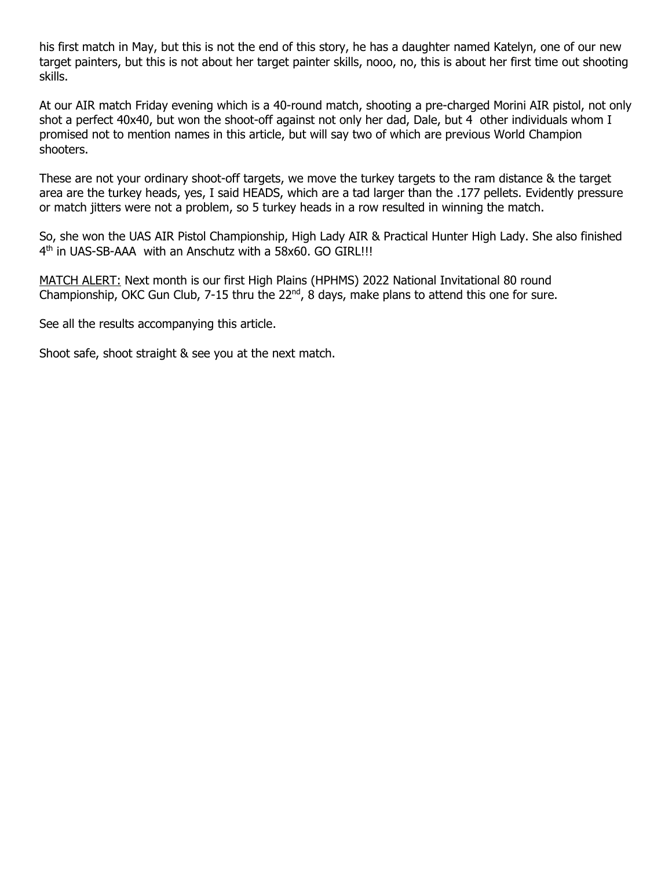his first match in May, but this is not the end of this story, he has a daughter named Katelyn, one of our new target painters, but this is not about her target painter skills, nooo, no, this is about her first time out shooting skills.

At our AIR match Friday evening which is a 40-round match, shooting a pre-charged Morini AIR pistol, not only shot a perfect 40x40, but won the shoot-off against not only her dad, Dale, but 4 other individuals whom I promised not to mention names in this article, but will say two of which are previous World Champion shooters.

These are not your ordinary shoot-off targets, we move the turkey targets to the ram distance & the target area are the turkey heads, yes, I said HEADS, which are a tad larger than the .177 pellets. Evidently pressure or match jitters were not a problem, so 5 turkey heads in a row resulted in winning the match.

So, she won the UAS AIR Pistol Championship, High Lady AIR & Practical Hunter High Lady. She also finished 4<sup>th</sup> in UAS-SB-AAA with an Anschutz with a 58x60. GO GIRL!!!

MATCH ALERT: Next month is our first High Plains (HPHMS) 2022 National Invitational 80 round Championship, OKC Gun Club, 7-15 thru the  $22^{nd}$ , 8 days, make plans to attend this one for sure.

See all the results accompanying this article.

Shoot safe, shoot straight & see you at the next match.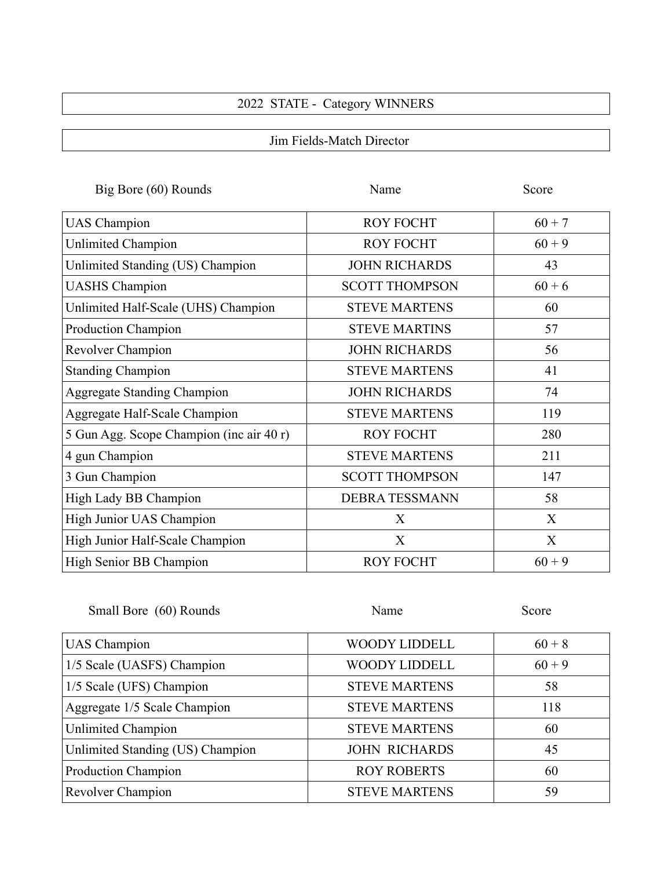## 2022 STATE - Category WINNERS

Jim Fields-Match Director

| Big Bore (60) Rounds                     | Name                  | Score    |
|------------------------------------------|-----------------------|----------|
| <b>UAS</b> Champion                      | <b>ROY FOCHT</b>      | $60 + 7$ |
| Unlimited Champion                       | <b>ROY FOCHT</b>      | $60 + 9$ |
| Unlimited Standing (US) Champion         | <b>JOHN RICHARDS</b>  | 43       |
| <b>UASHS</b> Champion                    | <b>SCOTT THOMPSON</b> | $60 + 6$ |
| Unlimited Half-Scale (UHS) Champion      | <b>STEVE MARTENS</b>  | 60       |
| <b>Production Champion</b>               | <b>STEVE MARTINS</b>  | 57       |
| Revolver Champion                        | <b>JOHN RICHARDS</b>  | 56       |
| <b>Standing Champion</b>                 | <b>STEVE MARTENS</b>  | 41       |
| <b>Aggregate Standing Champion</b>       | <b>JOHN RICHARDS</b>  | 74       |
| Aggregate Half-Scale Champion            | <b>STEVE MARTENS</b>  | 119      |
| 5 Gun Agg. Scope Champion (inc air 40 r) | <b>ROY FOCHT</b>      | 280      |
| 4 gun Champion                           | <b>STEVE MARTENS</b>  | 211      |
| 3 Gun Champion                           | <b>SCOTT THOMPSON</b> | 147      |
| High Lady BB Champion                    | <b>DEBRA TESSMANN</b> | 58       |
| High Junior UAS Champion                 | X                     | X        |
| High Junior Half-Scale Champion          | X                     | X        |
| High Senior BB Champion                  | <b>ROY FOCHT</b>      | $60 + 9$ |

| Small Bore (60) Rounds           | Name                 | Score    |
|----------------------------------|----------------------|----------|
| <b>UAS</b> Champion              | <b>WOODY LIDDELL</b> | $60 + 8$ |
| 1/5 Scale (UASFS) Champion       | <b>WOODY LIDDELL</b> | $60 + 9$ |
| 1/5 Scale (UFS) Champion         | <b>STEVE MARTENS</b> | 58       |
| Aggregate 1/5 Scale Champion     | <b>STEVE MARTENS</b> | 118      |
| <b>Unlimited Champion</b>        | <b>STEVE MARTENS</b> | 60       |
| Unlimited Standing (US) Champion | <b>JOHN RICHARDS</b> | 45       |
| Production Champion              | <b>ROY ROBERTS</b>   | 60       |
| Revolver Champion                | <b>STEVE MARTENS</b> | 59       |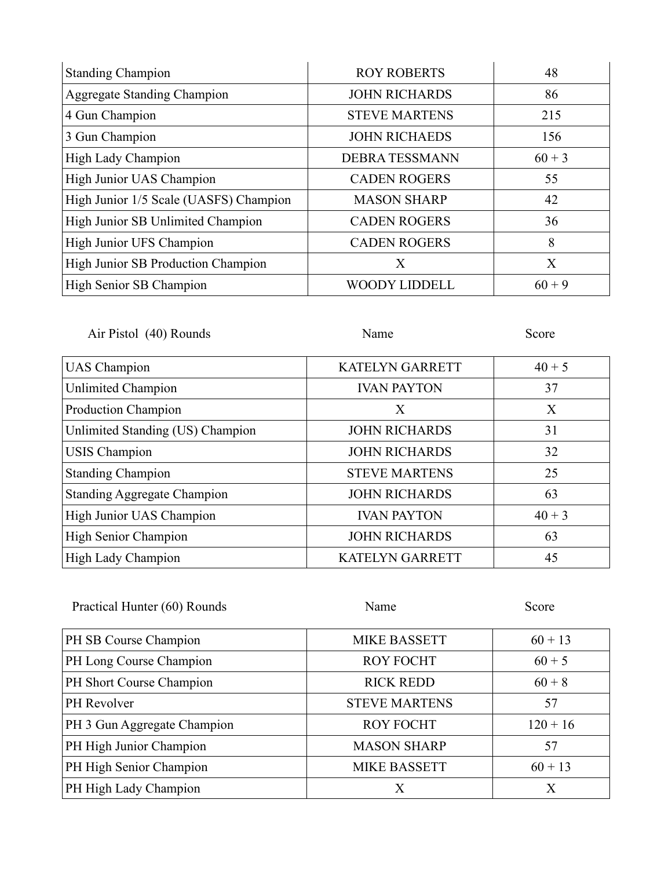| <b>Standing Champion</b>               | <b>ROY ROBERTS</b>    | 48       |
|----------------------------------------|-----------------------|----------|
| <b>Aggregate Standing Champion</b>     | <b>JOHN RICHARDS</b>  | 86       |
| 4 Gun Champion                         | <b>STEVE MARTENS</b>  | 215      |
| 3 Gun Champion                         | <b>JOHN RICHAEDS</b>  | 156      |
| High Lady Champion                     | <b>DEBRA TESSMANN</b> | $60 + 3$ |
| High Junior UAS Champion               | <b>CADEN ROGERS</b>   | 55       |
| High Junior 1/5 Scale (UASFS) Champion | <b>MASON SHARP</b>    | 42       |
| High Junior SB Unlimited Champion      | <b>CADEN ROGERS</b>   | 36       |
| High Junior UFS Champion               | <b>CADEN ROGERS</b>   | 8        |
| High Junior SB Production Champion     | Χ                     | X        |
| High Senior SB Champion                | <b>WOODY LIDDELL</b>  | $60 + 9$ |

| Air Pistol (40) Rounds             | Name                   | Score    |
|------------------------------------|------------------------|----------|
| <b>UAS</b> Champion                | <b>KATELYN GARRETT</b> | $40 + 5$ |
| <b>Unlimited Champion</b>          | <b>IVAN PAYTON</b>     | 37       |
| <b>Production Champion</b>         | X                      | X        |
| Unlimited Standing (US) Champion   | <b>JOHN RICHARDS</b>   | 31       |
| <b>USIS</b> Champion               | <b>JOHN RICHARDS</b>   | 32       |
| <b>Standing Champion</b>           | <b>STEVE MARTENS</b>   | 25       |
| <b>Standing Aggregate Champion</b> | <b>JOHN RICHARDS</b>   | 63       |
| High Junior UAS Champion           | <b>IVAN PAYTON</b>     | $40 + 3$ |
| High Senior Champion               | <b>JOHN RICHARDS</b>   | 63       |
| High Lady Champion                 | <b>KATELYN GARRETT</b> | 45       |

| Practical Hunter (60) Rounds | Name                 | Score      |
|------------------------------|----------------------|------------|
| PH SB Course Champion        | <b>MIKE BASSETT</b>  | $60 + 13$  |
| PH Long Course Champion      | <b>ROY FOCHT</b>     | $60 + 5$   |
| PH Short Course Champion     | <b>RICK REDD</b>     | $60 + 8$   |
| PH Revolver                  | <b>STEVE MARTENS</b> | 57         |
| PH 3 Gun Aggregate Champion  | <b>ROY FOCHT</b>     | $120 + 16$ |
| PH High Junior Champion      | <b>MASON SHARP</b>   | 57         |
| PH High Senior Champion      | <b>MIKE BASSETT</b>  | $60 + 13$  |
| PH High Lady Champion        | Х                    | Χ          |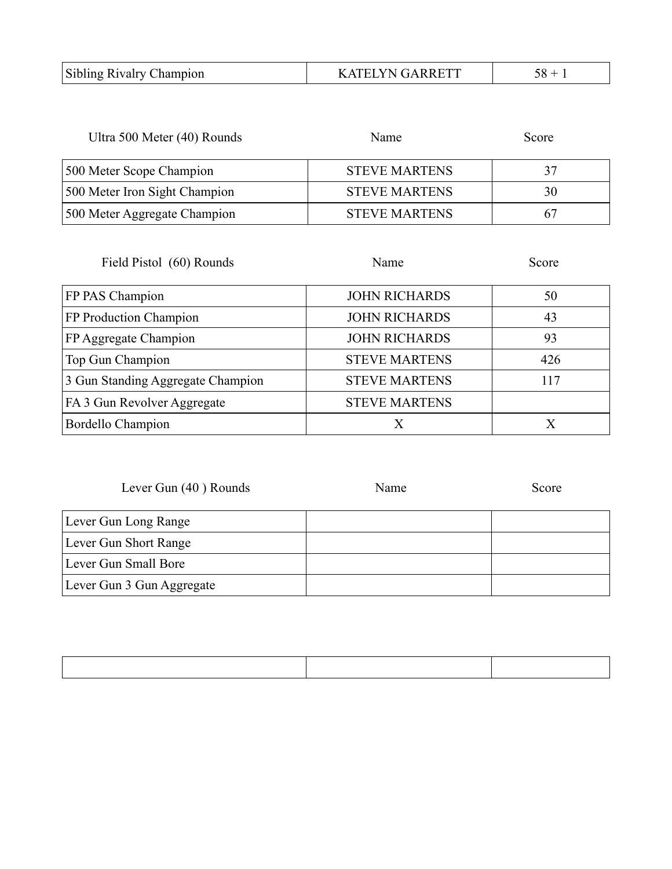| Sibling Rivalry Champion<br>KATELYN GARRETT |  |
|---------------------------------------------|--|
|---------------------------------------------|--|

| Ultra 500 Meter (40) Rounds   | Name                 | Score |
|-------------------------------|----------------------|-------|
| 500 Meter Scope Champion      | <b>STEVE MARTENS</b> | 37    |
| 500 Meter Iron Sight Champion | <b>STEVE MARTENS</b> | 30    |
| 500 Meter Aggregate Champion  | <b>STEVE MARTENS</b> | 67    |

| Field Pistol (60) Rounds          | Name                 | Score |
|-----------------------------------|----------------------|-------|
| FP PAS Champion                   | <b>JOHN RICHARDS</b> | 50    |
| FP Production Champion            | <b>JOHN RICHARDS</b> | 43    |
| FP Aggregate Champion             | <b>JOHN RICHARDS</b> | 93    |
| Top Gun Champion                  | <b>STEVE MARTENS</b> | 426   |
| 3 Gun Standing Aggregate Champion | <b>STEVE MARTENS</b> | 117   |
| FA 3 Gun Revolver Aggregate       | <b>STEVE MARTENS</b> |       |
| Bordello Champion                 | Х                    | Х     |

| Lever Gun $(40)$ Rounds   | Name | Score |
|---------------------------|------|-------|
| Lever Gun Long Range      |      |       |
| Lever Gun Short Range     |      |       |
| Lever Gun Small Bore      |      |       |
| Lever Gun 3 Gun Aggregate |      |       |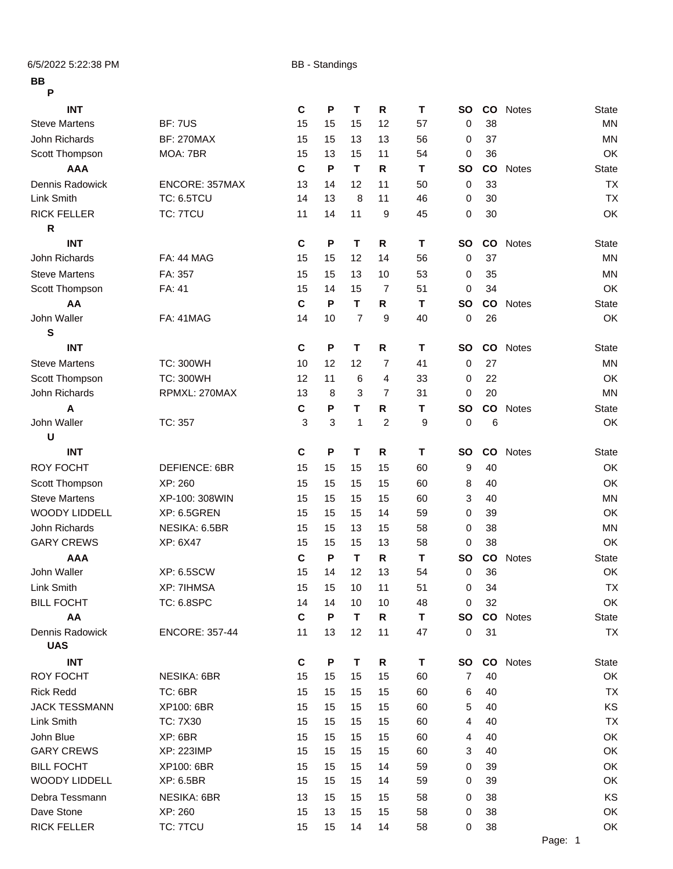6/5/2022 5:22:38 PM BB - Standings

## **BB**

| I<br>۰. |         |  |
|---------|---------|--|
|         | I<br>۰. |  |

| г                    |                       |             |    |                |              |    |           |               |                 |              |
|----------------------|-----------------------|-------------|----|----------------|--------------|----|-----------|---------------|-----------------|--------------|
| <b>INT</b>           |                       | C           | P  | Τ              | ${\sf R}$    | т  | <b>SO</b> |               | <b>CO</b> Notes | <b>State</b> |
| <b>Steve Martens</b> | <b>BF: 7US</b>        | 15          | 15 | 15             | 12           | 57 | 0         | 38            |                 | <b>MN</b>    |
| John Richards        | <b>BF: 270MAX</b>     | 15          | 15 | 13             | 13           | 56 | 0         | 37            |                 | <b>MN</b>    |
| Scott Thompson       | MOA: 7BR              | 15          | 13 | 15             | 11           | 54 | 0         | 36            |                 | OK           |
| <b>AAA</b>           |                       | C           | P  | T              | R            | т  | <b>SO</b> | <b>CO</b>     | <b>Notes</b>    | <b>State</b> |
| Dennis Radowick      | ENCORE: 357MAX        | 13          | 14 | 12             | 11           | 50 | 0         | 33            |                 | <b>TX</b>    |
| Link Smith           | <b>TC: 6.5TCU</b>     | 14          | 13 | 8              | 11           | 46 | 0         | 30            |                 | <b>TX</b>    |
| <b>RICK FELLER</b>   | TC: 7TCU              | 11          | 14 | 11             | 9            | 45 | 0         | 30            |                 | OK           |
| $\mathsf{R}$         |                       |             |    |                |              |    |           |               |                 |              |
| <b>INT</b>           |                       | C           | P  | T              | $\mathsf{R}$ | T  | <b>SO</b> | $\mathsf{co}$ | Notes           | <b>State</b> |
| John Richards        | <b>FA: 44 MAG</b>     | 15          | 15 | 12             | 14           | 56 | 0         | 37            |                 | <b>MN</b>    |
| <b>Steve Martens</b> | FA: 357               | 15          | 15 | 13             | 10           | 53 | 0         | 35            |                 | <b>MN</b>    |
| Scott Thompson       | FA: 41                | 15          | 14 | 15             | 7            | 51 | 0         | 34            |                 | OK           |
| AA                   |                       | C           | P  | т              | R            | т  | <b>SO</b> | $\mathsf{co}$ | <b>Notes</b>    | <b>State</b> |
| John Waller          | <b>FA: 41MAG</b>      | 14          | 10 | $\overline{7}$ | 9            | 40 | 0         | 26            |                 | OK           |
| S                    |                       |             |    |                |              |    |           |               |                 |              |
| <b>INT</b>           |                       | $\mathbf c$ | P  | T              | R            | T  | <b>SO</b> | $\mathsf{co}$ | Notes           | <b>State</b> |
| <b>Steve Martens</b> | <b>TC: 300WH</b>      | 10          | 12 | 12             | 7            | 41 | 0         | 27            |                 | <b>MN</b>    |
| Scott Thompson       | <b>TC: 300WH</b>      | 12          | 11 | 6              | 4            | 33 | 0         | 22            |                 | OK           |
| John Richards        | RPMXL: 270MAX         | 13          | 8  | 3              | 7            | 31 | 0         | 20            |                 | <b>MN</b>    |
| A                    |                       | C           | P  | т              | R.           | T  | <b>SO</b> | co            | Notes           | <b>State</b> |
| John Waller          | TC: 357               | 3           | 3  | 1              | 2            | 9  | 0         | 6             |                 | OK           |
| U                    |                       |             |    |                |              |    |           |               |                 |              |
| <b>INT</b>           |                       | C           | P  | Τ              | R            | т  | <b>SO</b> | CO            | <b>Notes</b>    | <b>State</b> |
| <b>ROY FOCHT</b>     | DEFIENCE: 6BR         | 15          | 15 | 15             | 15           | 60 | 9         | 40            |                 | OK           |
| Scott Thompson       | XP: 260               | 15          | 15 | 15             | 15           | 60 | 8         | 40            |                 | OK           |
| <b>Steve Martens</b> | XP-100: 308WIN        | 15          | 15 | 15             | 15           | 60 | 3         | 40            |                 | <b>MN</b>    |
| <b>WOODY LIDDELL</b> | <b>XP: 6.5GREN</b>    | 15          | 15 | 15             | 14           | 59 | 0         | 39            |                 | OK           |
| John Richards        | NESIKA: 6.5BR         | 15          | 15 | 13             | 15           | 58 | 0         | 38            |                 | <b>MN</b>    |
| <b>GARY CREWS</b>    | XP: 6X47              | 15          | 15 | 15             | 13           | 58 | 0         | 38            |                 | OK           |
| <b>AAA</b>           |                       | C           | P  | T              | R            | т  | <b>SO</b> | $\mathbf{co}$ | Notes           | <b>State</b> |
| John Waller          | <b>XP: 6.5SCW</b>     | 15          | 14 | 12             | 13           | 54 | 0         | 36            |                 | OK           |
| Link Smith           | XP: 7IHMSA            | 15          | 15 | $10$           | 11           | 51 | $\pmb{0}$ | 34            |                 | <b>TX</b>    |
| <b>BILL FOCHT</b>    | TC: 6.8SPC            | 14          | 14 | 10             | 10           | 48 | 0         | 32            |                 | OK           |
| AA                   |                       | $\mathbf c$ | P  | Τ              | R            | Т  | <b>SO</b> |               | CO Notes        | <b>State</b> |
| Dennis Radowick      | <b>ENCORE: 357-44</b> | 11          | 13 | 12             | 11           | 47 | 0         | 31            |                 | <b>TX</b>    |
| <b>UAS</b>           |                       |             |    |                |              |    |           |               |                 |              |
| <b>INT</b>           |                       | C           | P  | Τ              | R            | T  | <b>SO</b> |               | CO Notes        | <b>State</b> |
| <b>ROY FOCHT</b>     | <b>NESIKA: 6BR</b>    | 15          | 15 | 15             | 15           | 60 | 7         | 40            |                 | OK           |
| <b>Rick Redd</b>     | TC: 6BR               | 15          | 15 | 15             | 15           | 60 | 6         | 40            |                 | <b>TX</b>    |
| <b>JACK TESSMANN</b> | XP100: 6BR            | 15          | 15 | 15             | 15           | 60 | 5         | 40            |                 | KS           |
| Link Smith           | TC: 7X30              | 15          | 15 | 15             | 15           | 60 | 4         | 40            |                 | <b>TX</b>    |
| John Blue            | XP: 6BR               | 15          | 15 | 15             | 15           | 60 | 4         | 40            |                 | OK           |
| <b>GARY CREWS</b>    | <b>XP: 223IMP</b>     | 15          | 15 | 15             | 15           | 60 | 3         | 40            |                 | OK           |
| <b>BILL FOCHT</b>    | XP100: 6BR            | 15          | 15 | 15             | 14           | 59 | 0         | 39            |                 | OK           |
| <b>WOODY LIDDELL</b> | XP: 6.5BR             | 15          | 15 | 15             | 14           | 59 | 0         | 39            |                 | OK           |
| Debra Tessmann       | <b>NESIKA: 6BR</b>    | 13          | 15 | 15             | 15           | 58 | 0         | 38            |                 | KS           |
| Dave Stone           | XP: 260               | 15          | 13 | 15             | 15           | 58 | 0         | 38            |                 | OK           |
| <b>RICK FELLER</b>   | TC: 7TCU              | 15          | 15 | 14             | 14           | 58 | 0         | 38            |                 | OK           |
|                      |                       |             |    |                |              |    |           |               |                 |              |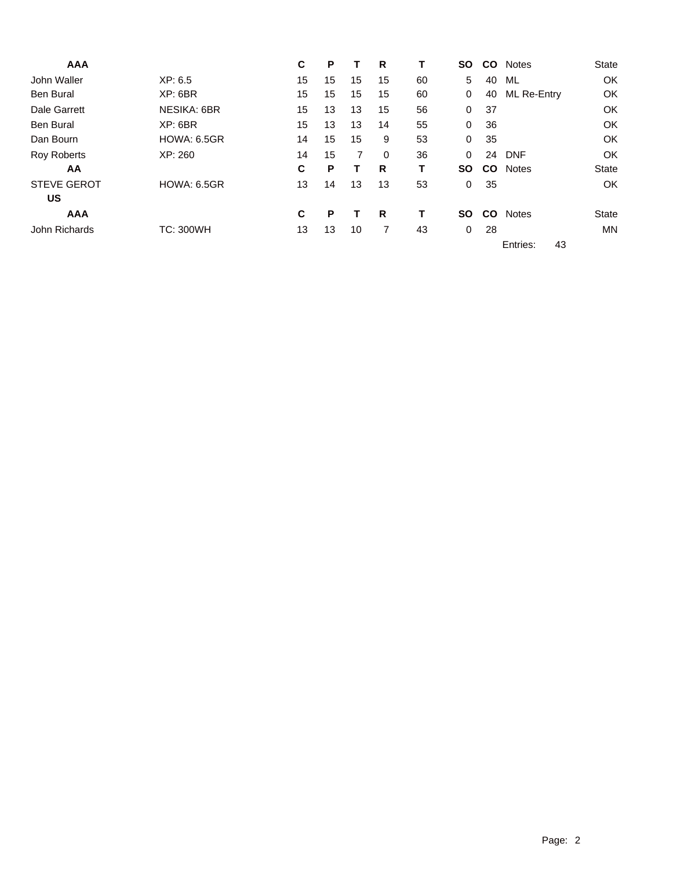| <b>AAA</b>         |                    | С  | Р  |                | R        | т  | SΟ        | <b>CO</b> | <b>Notes</b>       | <b>State</b> |
|--------------------|--------------------|----|----|----------------|----------|----|-----------|-----------|--------------------|--------------|
| John Waller        | XP: 6.5            | 15 | 15 | 15             | 15       | 60 | 5         | 40        | ML                 | OK           |
| <b>Ben Bural</b>   | XP: 6BR            | 15 | 15 | 15             | 15       | 60 | 0         | 40        | <b>ML Re-Entry</b> | OK           |
| Dale Garrett       | <b>NESIKA: 6BR</b> | 15 | 13 | 13             | 15       | 56 | 0         | 37        |                    | OK           |
| Ben Bural          | XP: 6BR            | 15 | 13 | 13             | 14       | 55 | 0         | 36        |                    | OK           |
| Dan Bourn          | <b>HOWA: 6.5GR</b> | 14 | 15 | 15             | 9        | 53 | 0         | 35        |                    | OK           |
| <b>Roy Roberts</b> | XP:260             | 14 | 15 | $\overline{7}$ | $\Omega$ | 36 | 0         | 24        | <b>DNF</b>         | OK           |
| AA                 |                    | C  | Ρ  |                | R        | Т  | <b>SO</b> | <b>CO</b> | <b>Notes</b>       | <b>State</b> |
| <b>STEVE GEROT</b> | <b>HOWA: 6.5GR</b> | 13 | 14 | 13             | 13       | 53 | 0         | 35        |                    | OK           |
| <b>US</b>          |                    |    |    |                |          |    |           |           |                    |              |
| <b>AAA</b>         |                    | C  | Р  |                | R        | т  | <b>SO</b> | <b>CO</b> | <b>Notes</b>       | <b>State</b> |
| John Richards      | <b>TC: 300WH</b>   | 13 | 13 | 10             | 7        | 43 | 0         | 28        |                    | <b>MN</b>    |
|                    |                    |    |    |                |          |    |           |           | Entries:<br>43     |              |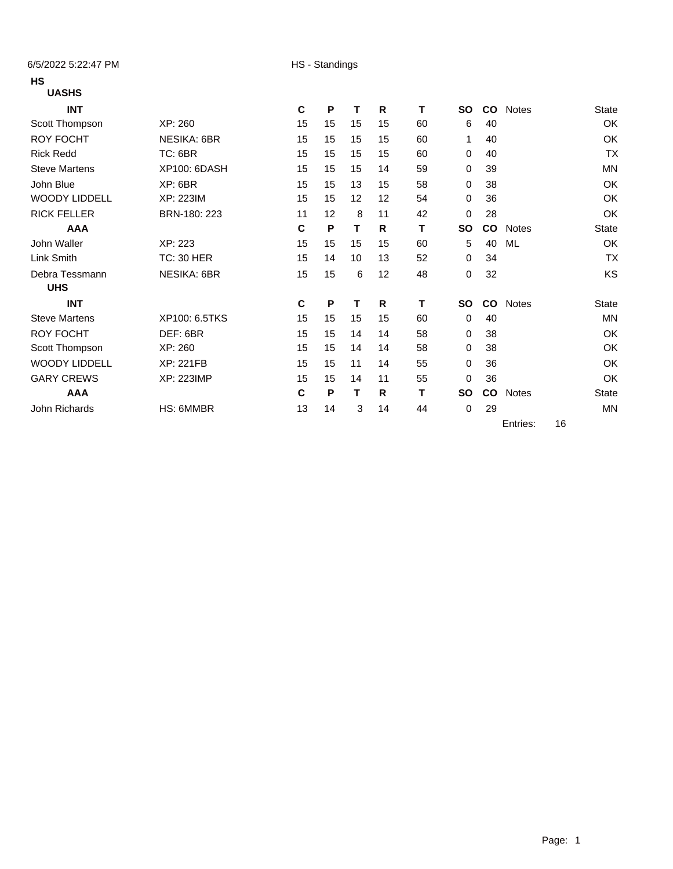6/5/2022 5:22:47 PM HS - Standings

### **HS**

## **UASHS**

| <b>INT</b>           |                     | C  | P  | т  | R  | т  | SΟ        | <b>CO</b> | <b>Notes</b> |    | State        |
|----------------------|---------------------|----|----|----|----|----|-----------|-----------|--------------|----|--------------|
| Scott Thompson       | XP: 260             | 15 | 15 | 15 | 15 | 60 | 6         | 40        |              |    | OK           |
| <b>ROY FOCHT</b>     | <b>NESIKA: 6BR</b>  | 15 | 15 | 15 | 15 | 60 | 1         | 40        |              |    | OK           |
| <b>Rick Redd</b>     | TC: 6BR             | 15 | 15 | 15 | 15 | 60 | 0         | 40        |              |    | <b>TX</b>    |
| <b>Steve Martens</b> | <b>XP100: 6DASH</b> | 15 | 15 | 15 | 14 | 59 | 0         | 39        |              |    | <b>MN</b>    |
| John Blue            | XP: 6BR             | 15 | 15 | 13 | 15 | 58 | $\Omega$  | 38        |              |    | OK           |
| <b>WOODY LIDDELL</b> | XP: 223IM           | 15 | 15 | 12 | 12 | 54 | 0         | 36        |              |    | OK           |
| <b>RICK FELLER</b>   | BRN-180: 223        | 11 | 12 | 8  | 11 | 42 | 0         | 28        |              |    | OK           |
| <b>AAA</b>           |                     | C  | P  | т  | R  | т  | <b>SO</b> | <b>CO</b> | <b>Notes</b> |    | <b>State</b> |
| John Waller          | XP: 223             | 15 | 15 | 15 | 15 | 60 | 5         | 40        | ML           |    | OK           |
| Link Smith           | <b>TC: 30 HER</b>   | 15 | 14 | 10 | 13 | 52 | 0         | 34        |              |    | <b>TX</b>    |
| Debra Tessmann       | <b>NESIKA: 6BR</b>  | 15 | 15 | 6  | 12 | 48 | 0         | 32        |              |    | KS           |
| <b>UHS</b>           |                     |    |    |    |    |    |           |           |              |    |              |
| <b>INT</b>           |                     | C  | P  | т  | R  | т  | <b>SO</b> | CO        | <b>Notes</b> |    | <b>State</b> |
| <b>Steve Martens</b> | XP100: 6.5TKS       | 15 | 15 | 15 | 15 | 60 | 0         | 40        |              |    | <b>MN</b>    |
| <b>ROY FOCHT</b>     | DEF: 6BR            | 15 | 15 | 14 | 14 | 58 | 0         | 38        |              |    | OK           |
| Scott Thompson       | XP: 260             | 15 | 15 | 14 | 14 | 58 | 0         | 38        |              |    | OK           |
| <b>WOODY LIDDELL</b> | <b>XP: 221FB</b>    | 15 | 15 | 11 | 14 | 55 | 0         | 36        |              |    | OK           |
| <b>GARY CREWS</b>    | <b>XP: 223IMP</b>   | 15 | 15 | 14 | 11 | 55 | 0         | 36        |              |    | OK           |
| <b>AAA</b>           |                     | C  | P  | т  | R  | т  | <b>SO</b> | <b>CO</b> | <b>Notes</b> |    | <b>State</b> |
| John Richards        | HS: 6MMBR           | 13 | 14 | 3  | 14 | 44 | 0         | 29        |              |    | MN           |
|                      |                     |    |    |    |    |    |           |           | Entries:     | 16 |              |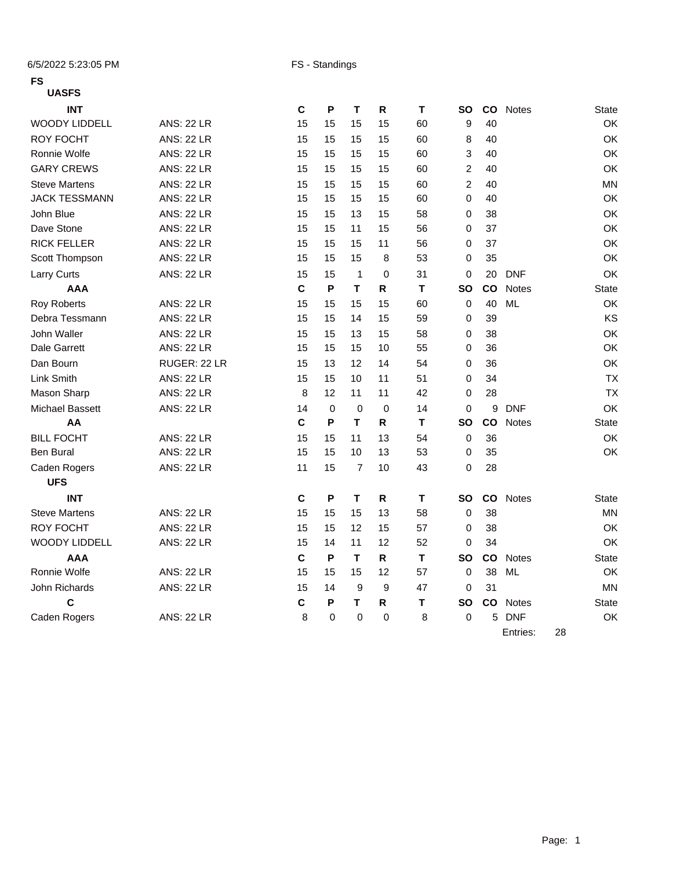6/5/2022 5:23:05 PM FS - Standings

### **FS**

### **UASFS**

| <b>INT</b>             |                   | $\mathbf c$ | P           | T              | R           | $\mathsf T$ | <b>SO</b>      | co | <b>Notes</b> | State        |
|------------------------|-------------------|-------------|-------------|----------------|-------------|-------------|----------------|----|--------------|--------------|
| <b>WOODY LIDDELL</b>   | <b>ANS: 22 LR</b> | 15          | 15          | 15             | 15          | 60          | 9              | 40 |              | OK           |
| <b>ROY FOCHT</b>       | <b>ANS: 22 LR</b> | 15          | 15          | 15             | 15          | 60          | 8              | 40 |              | OK           |
| Ronnie Wolfe           | <b>ANS: 22 LR</b> | 15          | 15          | 15             | 15          | 60          | 3              | 40 |              | OK           |
| <b>GARY CREWS</b>      | <b>ANS: 22 LR</b> | 15          | 15          | 15             | 15          | 60          | $\overline{2}$ | 40 |              | OK           |
| <b>Steve Martens</b>   | <b>ANS: 22 LR</b> | 15          | 15          | 15             | 15          | 60          | $\overline{2}$ | 40 |              | <b>MN</b>    |
| <b>JACK TESSMANN</b>   | <b>ANS: 22 LR</b> | 15          | 15          | 15             | 15          | 60          | 0              | 40 |              | OK           |
| John Blue              | <b>ANS: 22 LR</b> | 15          | 15          | 13             | 15          | 58          | $\Omega$       | 38 |              | OK           |
| Dave Stone             | <b>ANS: 22 LR</b> | 15          | 15          | 11             | 15          | 56          | $\Omega$       | 37 |              | OK           |
| <b>RICK FELLER</b>     | <b>ANS: 22 LR</b> | 15          | 15          | 15             | 11          | 56          | 0              | 37 |              | OK           |
| Scott Thompson         | <b>ANS: 22 LR</b> | 15          | 15          | 15             | 8           | 53          | $\mathbf 0$    | 35 |              | OK           |
| Larry Curts            | <b>ANS: 22 LR</b> | 15          | 15          | $\mathbf{1}$   | 0           | 31          | 0              | 20 | <b>DNF</b>   | OK           |
| <b>AAA</b>             |                   | $\mathbf c$ | P           | T              | $\mathsf R$ | T           | <b>SO</b>      | co | <b>Notes</b> | <b>State</b> |
| <b>Roy Roberts</b>     | <b>ANS: 22 LR</b> | 15          | 15          | 15             | 15          | 60          | 0              | 40 | <b>ML</b>    | OK           |
| Debra Tessmann         | <b>ANS: 22 LR</b> | 15          | 15          | 14             | 15          | 59          | 0              | 39 |              | KS           |
| John Waller            | <b>ANS: 22 LR</b> | 15          | 15          | 13             | 15          | 58          | 0              | 38 |              | OK           |
| <b>Dale Garrett</b>    | <b>ANS: 22 LR</b> | 15          | 15          | 15             | 10          | 55          | 0              | 36 |              | OK           |
| Dan Bourn              | RUGER: 22 LR      | 15          | 13          | 12             | 14          | 54          | 0              | 36 |              | OK           |
| Link Smith             | <b>ANS: 22 LR</b> | 15          | 15          | 10             | 11          | 51          | $\mathbf 0$    | 34 |              | <b>TX</b>    |
| Mason Sharp            | <b>ANS: 22 LR</b> | 8           | 12          | 11             | 11          | 42          | 0              | 28 |              | <b>TX</b>    |
| <b>Michael Bassett</b> | <b>ANS: 22 LR</b> | 14          | $\mathbf 0$ | $\mathbf 0$    | $\Omega$    | 14          | $\Omega$       | 9  | <b>DNF</b>   | OK           |
| AA                     |                   | $\mathbf c$ | P           | т              | R           | T           | <b>SO</b>      | co | <b>Notes</b> | State        |
| <b>BILL FOCHT</b>      | <b>ANS: 22 LR</b> | 15          | 15          | 11             | 13          | 54          | 0              | 36 |              | OK           |
| <b>Ben Bural</b>       | <b>ANS: 22 LR</b> | 15          | 15          | 10             | 13          | 53          | 0              | 35 |              | OK           |
| Caden Rogers           | <b>ANS: 22 LR</b> | 11          | 15          | $\overline{7}$ | 10          | 43          | 0              | 28 |              |              |
| <b>UFS</b>             |                   |             |             |                |             |             |                |    |              |              |
| <b>INT</b>             |                   | $\mathbf c$ | P           | т              | R           | T           | <b>SO</b>      | co | <b>Notes</b> | <b>State</b> |
| <b>Steve Martens</b>   | <b>ANS: 22 LR</b> | 15          | 15          | 15             | 13          | 58          | 0              | 38 |              | <b>MN</b>    |
| <b>ROY FOCHT</b>       | <b>ANS: 22 LR</b> | 15          | 15          | 12             | 15          | 57          | 0              | 38 |              | OK           |
| <b>WOODY LIDDELL</b>   | <b>ANS: 22 LR</b> | 15          | 14          | 11             | 12          | 52          | 0              | 34 |              | OK           |
| <b>AAA</b>             |                   | $\mathbf c$ | P           | T.             | R.          | T           | <b>SO</b>      | co | <b>Notes</b> | <b>State</b> |
| Ronnie Wolfe           | <b>ANS: 22 LR</b> | 15          | 15          | 15             | 12          | 57          | 0              | 38 | <b>ML</b>    | OK           |
| John Richards          | <b>ANS: 22 LR</b> | 15          | 14          | 9              | 9           | 47          | 0              | 31 |              | <b>MN</b>    |
| $\mathbf c$            |                   | $\mathbf c$ | P           | т              | R           | T           | <b>SO</b>      | co | <b>Notes</b> | <b>State</b> |
| Caden Rogers           | <b>ANS: 22 LR</b> | 8           | 0           | $\mathbf 0$    | 0           | 8           | 0              | 5  | <b>DNF</b>   | OK           |
|                        |                   |             |             |                |             |             |                |    | Entries:     | 28           |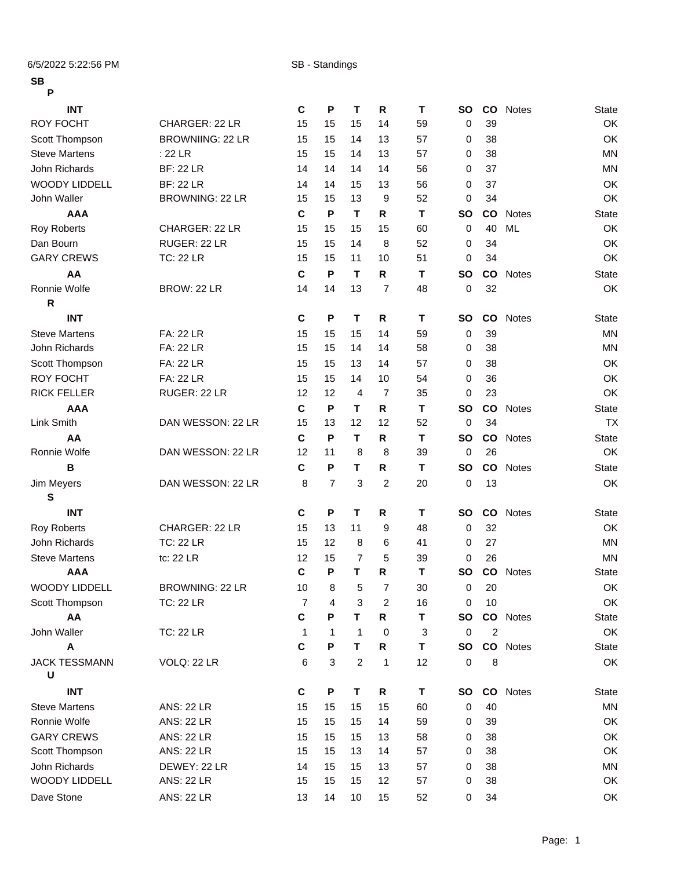6/5/2022 5:22:56 PM SB - Standings

| 56<br>P              |                         |                |                |                |                |    |             |                 |              |              |
|----------------------|-------------------------|----------------|----------------|----------------|----------------|----|-------------|-----------------|--------------|--------------|
| <b>INT</b>           |                         | $\mathbf c$    | P              | T              | R              | Т  | <b>SO</b>   | $\mathsf{co}$   | <b>Notes</b> | <b>State</b> |
| <b>ROY FOCHT</b>     | CHARGER: 22 LR          | 15             | 15             | 15             | 14             | 59 | 0           | 39              |              | OK           |
| Scott Thompson       | <b>BROWNIING: 22 LR</b> | 15             | 15             | 14             | 13             | 57 | 0           | 38              |              | OK           |
| <b>Steve Martens</b> | $:22$ LR                | 15             | 15             | 14             | 13             | 57 | 0           | 38              |              | <b>MN</b>    |
| John Richards        | <b>BF: 22 LR</b>        | 14             | 14             | 14             | 14             | 56 | 0           | 37              |              | <b>MN</b>    |
| <b>WOODY LIDDELL</b> | <b>BF: 22 LR</b>        | 14             | 14             | 15             | 13             | 56 | 0           | 37              |              | OK           |
| John Waller          | BROWNING: 22 LR         | 15             | 15             | 13             | 9              | 52 | 0           | 34              |              | OK           |
| <b>AAA</b>           |                         | C              | P              | T              | R              | т  | <b>SO</b>   | <b>CO</b>       | Notes        | State        |
| <b>Roy Roberts</b>   | CHARGER: 22 LR          | 15             | 15             | 15             | 15             | 60 | 0           | 40              | <b>ML</b>    | OK           |
| Dan Bourn            | RUGER: 22 LR            | 15             | 15             | 14             | $\,8\,$        | 52 | 0           | 34              |              | OK           |
| <b>GARY CREWS</b>    | <b>TC: 22 LR</b>        | 15             | 15             | 11             | 10             | 51 | 0           | 34              |              | OK           |
| AA                   |                         | $\mathbf c$    | P              | T              | R              | Т  | <b>SO</b>   | CO              | <b>Notes</b> | <b>State</b> |
| Ronnie Wolfe         | BROW: 22 LR             | 14             | 14             | 13             | $\overline{7}$ | 48 | 0           | 32              |              | OK           |
| ${\sf R}$            |                         |                |                |                |                |    |             |                 |              |              |
| <b>INT</b>           |                         | $\mathbf c$    | P              | $\mathbf T$    | R              | т  | <b>SO</b>   | <b>CO</b>       | <b>Notes</b> | <b>State</b> |
| <b>Steve Martens</b> | <b>FA: 22 LR</b>        | 15             | 15             | 15             | 14             | 59 | $\mathbf 0$ | 39              |              | <b>MN</b>    |
| John Richards        | <b>FA: 22 LR</b>        | 15             | 15             | 14             | 14             | 58 | 0           | 38              |              | <b>MN</b>    |
| Scott Thompson       | <b>FA: 22 LR</b>        | 15             | 15             | 13             | 14             | 57 | 0           | 38              |              | OK           |
| <b>ROY FOCHT</b>     | <b>FA: 22 LR</b>        | 15             | 15             | 14             | 10             | 54 | 0           | 36              |              | OK           |
| <b>RICK FELLER</b>   | RUGER: 22 LR            | 12             | 12             | $\overline{4}$ | $\overline{7}$ | 35 | 0           | 23              |              | OK           |
| <b>AAA</b>           |                         | $\mathbf c$    | P              | T              | R              | Т  | <b>SO</b>   | $\mathsf{co}$   | <b>Notes</b> | <b>State</b> |
| Link Smith           | DAN WESSON: 22 LR       | 15             | 13             | 12             | 12             | 52 | 0           | 34              |              | <b>TX</b>    |
| AA                   |                         | $\mathbf c$    | P              | T              | $\mathsf{R}$   | т  | <b>SO</b>   | CO              | Notes        | <b>State</b> |
| Ronnie Wolfe         | DAN WESSON: 22 LR       | 12             | 11             | 8              | 8              | 39 | 0           | 26              |              | OK           |
| В                    |                         | $\mathbf c$    | P              | T              | $\mathsf{R}$   | T  | <b>SO</b>   | co              | Notes        | <b>State</b> |
| Jim Meyers           | DAN WESSON: 22 LR       | 8              | $\overline{7}$ | 3              | $\overline{c}$ | 20 | 0           | 13              |              | OK           |
| ${\bf S}$            |                         |                |                |                |                |    |             |                 |              |              |
| <b>INT</b>           |                         | $\mathbf c$    | P              | $\mathbf T$    | R              | T  | <b>SO</b>   | $\mathsf{co}\,$ | <b>Notes</b> | <b>State</b> |
| <b>Roy Roberts</b>   | CHARGER: 22 LR          | 15             | 13             | 11             | 9              | 48 | 0           | 32              |              | OK           |
| John Richards        | <b>TC: 22 LR</b>        | 15             | 12             | 8              | 6              | 41 | 0           | 27              |              | <b>MN</b>    |
| <b>Steve Martens</b> | tc: 22 LR               | 12             | 15             | $\overline{7}$ | 5              | 39 | $\mathbf 0$ | 26              |              | <b>MN</b>    |
| <b>AAA</b>           |                         | C              | P              | Τ.             | ${\sf R}$      | T  | SO          |                 | CO Notes     | <b>State</b> |
| <b>WOODY LIDDELL</b> | BROWNING: 22 LR         | 10             | 8              | 5              | 7              | 30 | 0           | 20              |              | OK           |
| Scott Thompson       | <b>TC: 22 LR</b>        | $\overline{7}$ | 4              | 3              | $\sqrt{2}$     | 16 | 0           | 10              |              | OK           |
| AA                   |                         | $\mathbf c$    | P              | T.             | R              | Т  | SO          |                 | CO Notes     | <b>State</b> |
| John Waller          | <b>TC: 22 LR</b>        | $\mathbf{1}$   | $\mathbf{1}$   | $\mathbf{1}$   | 0              | 3  | $\pmb{0}$   | $\overline{2}$  |              | OK           |
| A                    |                         | C              | P              | T              | R              | T  | SO          |                 | CO Notes     | <b>State</b> |
| <b>JACK TESSMANN</b> | VOLQ: 22 LR             | 6              | 3              | $\overline{2}$ | 1              | 12 | 0           | 8               |              | OK           |
| U                    |                         |                |                |                |                |    |             |                 |              |              |
| <b>INT</b>           |                         | C              | P              | T              | R              | Τ  | SO          |                 | CO Notes     | <b>State</b> |
| <b>Steve Martens</b> | <b>ANS: 22 LR</b>       | 15             | 15             | 15             | 15             | 60 | 0           | 40              |              | <b>MN</b>    |
| Ronnie Wolfe         | <b>ANS: 22 LR</b>       | 15             | 15             | 15             | 14             | 59 | 0           | 39              |              | OK           |
| <b>GARY CREWS</b>    | <b>ANS: 22 LR</b>       | 15             | 15             | 15             | 13             | 58 | 0           | 38              |              | OK           |
| Scott Thompson       | <b>ANS: 22 LR</b>       | 15             | 15             | 13             | 14             | 57 | 0           | 38              |              | OK           |
|                      |                         |                |                |                |                |    |             |                 |              |              |

John Richards DEWEY: 22 LR 14 15 15 13 57 0 38 MN WOODY LIDDELL ANS: 22 LR 15 15 15 15 12 57 0 38 OK Dave Stone ANS: 22 LR 13 14 10 15 52 0 34 OK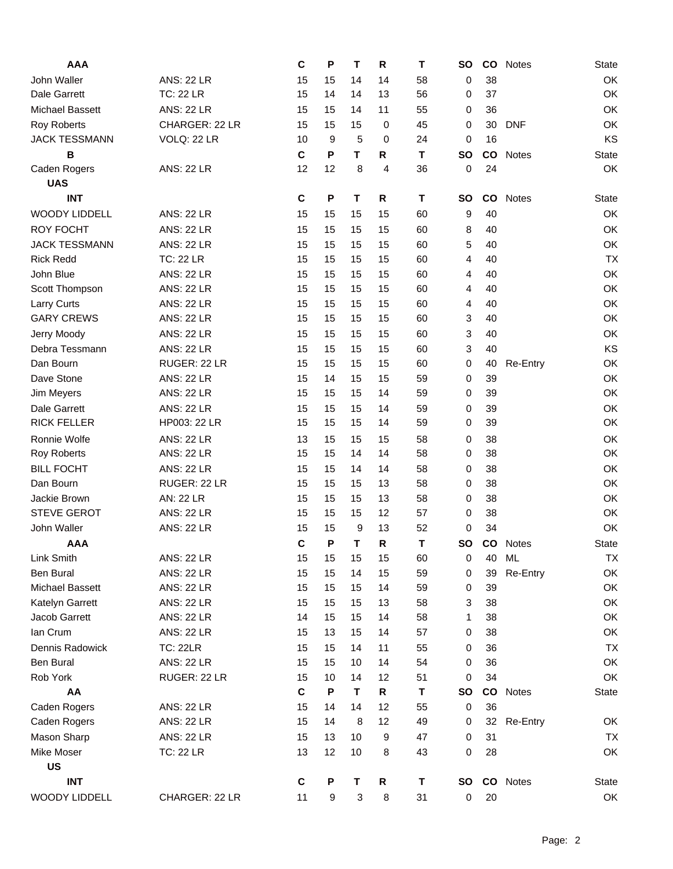| <b>AAA</b>             |                   | C            | P  | T  | R              | т  | <b>SO</b>   | $\mathsf{co}$ | <b>Notes</b> | State        |
|------------------------|-------------------|--------------|----|----|----------------|----|-------------|---------------|--------------|--------------|
| John Waller            | <b>ANS: 22 LR</b> | 15           | 15 | 14 | 14             | 58 | 0           | 38            |              | OK           |
| Dale Garrett           | <b>TC: 22 LR</b>  | 15           | 14 | 14 | 13             | 56 | 0           | 37            |              | OK           |
| <b>Michael Bassett</b> | <b>ANS: 22 LR</b> | 15           | 15 | 14 | 11             | 55 | 0           | 36            |              | OK           |
| <b>Roy Roberts</b>     | CHARGER: 22 LR    | 15           | 15 | 15 | 0              | 45 | 0           | 30            | <b>DNF</b>   | OK           |
| <b>JACK TESSMANN</b>   | VOLQ: 22 LR       | 10           | 9  | 5  | 0              | 24 | 0           | 16            |              | KS           |
| B                      |                   | $\mathbf C$  | P  | T  | R              | T  | <b>SO</b>   | co            | <b>Notes</b> | <b>State</b> |
| Caden Rogers           | <b>ANS: 22 LR</b> | 12           | 12 | 8  | $\overline{4}$ | 36 | 0           | 24            |              | OK           |
| <b>UAS</b>             |                   |              |    |    |                |    |             |               |              |              |
| <b>INT</b>             |                   | C            | P  | T  | R              | т  | <b>SO</b>   | co            | <b>Notes</b> | <b>State</b> |
| <b>WOODY LIDDELL</b>   | <b>ANS: 22 LR</b> | 15           | 15 | 15 | 15             | 60 | 9           | 40            |              | OK           |
| <b>ROY FOCHT</b>       | <b>ANS: 22 LR</b> | 15           | 15 | 15 | 15             | 60 | 8           | 40            |              | OK           |
| <b>JACK TESSMANN</b>   | <b>ANS: 22 LR</b> | 15           | 15 | 15 | 15             | 60 | 5           | 40            |              | OK           |
| <b>Rick Redd</b>       | <b>TC: 22 LR</b>  | 15           | 15 | 15 | 15             | 60 | 4           | 40            |              | <b>TX</b>    |
| John Blue              | <b>ANS: 22 LR</b> | 15           | 15 | 15 | 15             | 60 | 4           | 40            |              | OK           |
| Scott Thompson         | <b>ANS: 22 LR</b> | 15           | 15 | 15 | 15             | 60 | 4           | 40            |              | OK           |
| Larry Curts            | <b>ANS: 22 LR</b> | 15           | 15 | 15 | 15             | 60 | 4           | 40            |              | OK           |
| <b>GARY CREWS</b>      | <b>ANS: 22 LR</b> | 15           | 15 | 15 | 15             | 60 | 3           | 40            |              | OK           |
| Jerry Moody            | <b>ANS: 22 LR</b> | 15           | 15 | 15 | 15             | 60 | 3           | 40            |              | OK           |
| Debra Tessmann         | <b>ANS: 22 LR</b> | 15           | 15 | 15 | 15             | 60 | 3           | 40            |              | KS           |
| Dan Bourn              | RUGER: 22 LR      | 15           | 15 | 15 | 15             | 60 | 0           | 40            | Re-Entry     | OK           |
| Dave Stone             | <b>ANS: 22 LR</b> | 15           | 14 | 15 | 15             | 59 | $\mathbf 0$ | 39            |              | OK           |
| Jim Meyers             | <b>ANS: 22 LR</b> | 15           | 15 | 15 | 14             | 59 | 0           | 39            |              | OK           |
| <b>Dale Garrett</b>    | <b>ANS: 22 LR</b> | 15           | 15 | 15 | 14             | 59 | 0           | 39            |              | OK           |
| <b>RICK FELLER</b>     | HP003: 22 LR      | 15           | 15 | 15 | 14             | 59 | 0           | 39            |              | OK           |
| Ronnie Wolfe           | <b>ANS: 22 LR</b> | 13           | 15 | 15 | 15             | 58 | 0           | 38            |              | OK           |
| <b>Roy Roberts</b>     | <b>ANS: 22 LR</b> | 15           | 15 | 14 | 14             | 58 | 0           | 38            |              | OK           |
| <b>BILL FOCHT</b>      | <b>ANS: 22 LR</b> | 15           | 15 | 14 | 14             | 58 | 0           | 38            |              | OK           |
| Dan Bourn              | RUGER: 22 LR      | 15           | 15 | 15 | 13             | 58 | 0           | 38            |              | OK           |
| Jackie Brown           | <b>AN: 22 LR</b>  | 15           | 15 | 15 | 13             | 58 | 0           | 38            |              | OK           |
| <b>STEVE GEROT</b>     | <b>ANS: 22 LR</b> | 15           | 15 | 15 | 12             | 57 | 0           | 38            |              | OK           |
| John Waller            | <b>ANS: 22 LR</b> | 15           | 15 | 9  | 13             | 52 | 0           | 34            |              | OK           |
| <b>AAA</b>             |                   | $\mathbf c$  | P  | T  | $\mathsf{R}$   | T  | <b>SO</b>   | co            | <b>Notes</b> | <b>State</b> |
| Link Smith             | <b>ANS: 22 LR</b> | 15           | 15 | 15 | 15             | 60 | 0           | 40            | ML           | <b>TX</b>    |
| <b>Ben Bural</b>       | <b>ANS: 22 LR</b> | 15           | 15 | 14 | 15             | 59 | 0           | 39            | Re-Entry     | OK           |
| <b>Michael Bassett</b> | <b>ANS: 22 LR</b> | 15           | 15 | 15 | 14             | 59 | 0           | 39            |              | OK           |
| Katelyn Garrett        | <b>ANS: 22 LR</b> | 15           | 15 | 15 | 13             | 58 | 3           | 38            |              | OK           |
| Jacob Garrett          | <b>ANS: 22 LR</b> | 14           | 15 | 15 | 14             | 58 | 1           | 38            |              | OK           |
| Ian Crum               | <b>ANS: 22 LR</b> | 15           | 13 | 15 | 14             | 57 | 0           | 38            |              | OK           |
| Dennis Radowick        | <b>TC: 22LR</b>   | 15           | 15 | 14 | 11             | 55 | 0           | 36            |              | <b>TX</b>    |
| <b>Ben Bural</b>       | <b>ANS: 22 LR</b> | 15           | 15 | 10 | 14             | 54 | 0           | 36            |              | OK           |
| Rob York               | RUGER: 22 LR      | 15           | 10 | 14 | 12             | 51 | 0           | 34            |              | OK           |
| AA                     |                   | $\mathbf{C}$ | P  | T  | R              | Т  | <b>SO</b>   |               | CO Notes     | <b>State</b> |
| Caden Rogers           | <b>ANS: 22 LR</b> | 15           | 14 | 14 | 12             | 55 | 0           | 36            |              |              |
| Caden Rogers           | <b>ANS: 22 LR</b> | 15           | 14 | 8  | 12             | 49 | 0           |               | 32 Re-Entry  | OK           |
| Mason Sharp            | <b>ANS: 22 LR</b> | 15           | 13 | 10 | 9              | 47 | 0           | 31            |              | <b>TX</b>    |
| Mike Moser             | <b>TC: 22 LR</b>  | 13           | 12 | 10 | 8              | 43 | 0           | 28            |              | OK           |
| <b>US</b>              |                   |              |    |    |                |    |             |               |              |              |
| <b>INT</b>             |                   | C            | P  | Τ  | R              | Т  | <b>SO</b>   |               | CO Notes     | State        |
| WOODY LIDDELL          | CHARGER: 22 LR    | 11           | 9  | 3  | 8              | 31 | 0           | 20            |              | OK           |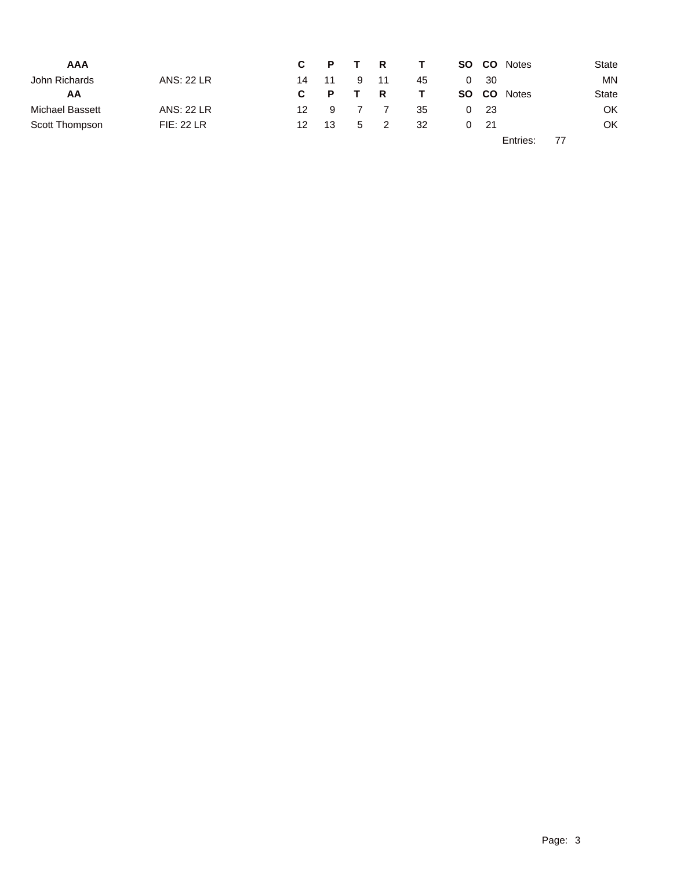| <b>AAA</b>      |                   |                 |              |   | C P T R | $\mathbf{T}$ | SO CO        | <b>Notes</b> |    | State     |
|-----------------|-------------------|-----------------|--------------|---|---------|--------------|--------------|--------------|----|-----------|
| John Richards   | <b>ANS: 22 LR</b> | 14              | 11           | 9 | - 11    | 45           | $0 \quad 30$ |              |    | MN.       |
| AA              |                   | $\mathbf{c}$    | $\mathsf{P}$ |   | R       | $\mathbf{T}$ | SO CO        | <b>Notes</b> |    | State     |
| Michael Bassett | <b>ANS: 22 LR</b> | 12 <sub>1</sub> | -9           |   |         | 35           | $0\quad 23$  |              |    | <b>OK</b> |
| Scott Thompson  | <b>FIE: 22 LR</b> | 12              | -13          |   | 5 2     | 32           | $0\quad 21$  |              |    | OK        |
|                 |                   |                 |              |   |         |              |              | Entries:     | 77 |           |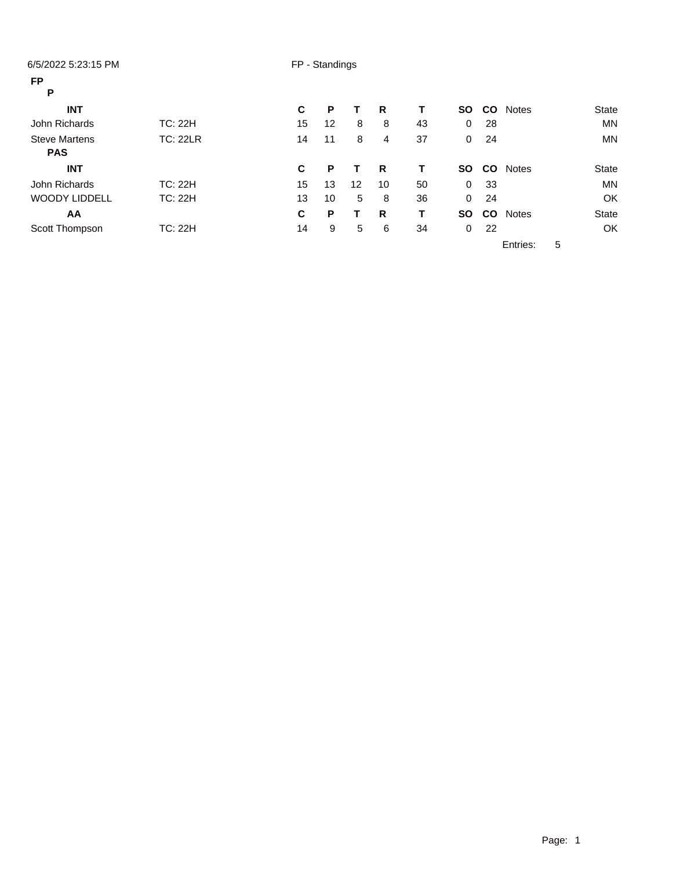| 6/5/2022 5:23:15 PM  |                 |    | FP - Standings |    |    |    |             |           |              |   |              |
|----------------------|-----------------|----|----------------|----|----|----|-------------|-----------|--------------|---|--------------|
| <b>FP</b>            |                 |    |                |    |    |    |             |           |              |   |              |
| P                    |                 |    |                |    |    |    |             |           |              |   |              |
| <b>INT</b>           |                 | C  | P              |    | R  | T. | <b>SO</b>   | <b>CO</b> | <b>Notes</b> |   | <b>State</b> |
| John Richards        | TC: 22H         | 15 | 12             | 8  | 8  | 43 | 0           | 28        |              |   | <b>MN</b>    |
| <b>Steve Martens</b> | <b>TC: 22LR</b> | 14 | 11             | 8  | 4  | 37 | $\mathbf 0$ | 24        |              |   | <b>MN</b>    |
| <b>PAS</b>           |                 |    |                |    |    |    |             |           |              |   |              |
| <b>INT</b>           |                 | C  | P              |    | R  | т  | <b>SO</b>   | <b>CO</b> | <b>Notes</b> |   | <b>State</b> |
| John Richards        | <b>TC: 22H</b>  | 15 | 13             | 12 | 10 | 50 | $\mathbf 0$ | 33        |              |   | <b>MN</b>    |
| <b>WOODY LIDDELL</b> | TC: 22H         | 13 | 10             | 5  | 8  | 36 | $\mathbf 0$ | 24        |              |   | OK           |
| AA                   |                 | C  | P              | т  | R  | т  | <b>SO</b>   | <b>CO</b> | <b>Notes</b> |   | <b>State</b> |
| Scott Thompson       | <b>TC: 22H</b>  | 14 | 9              | 5  | 6  | 34 | $\mathbf 0$ | 22        |              |   | OK           |
|                      |                 |    |                |    |    |    |             |           | Entries:     | 5 |              |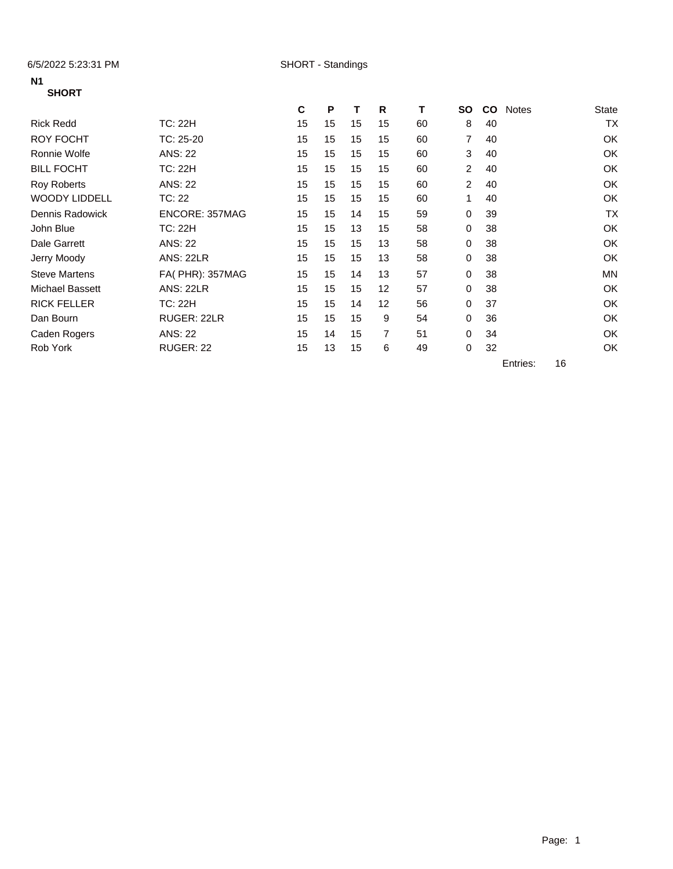6/5/2022 5:23:31 PM SHORT - Standings

### **N1 SHORT**

|                        |                  | C  | P  | т  | R  | т  | <b>SO</b>      | <b>CO</b> | <b>Notes</b> | <b>State</b> |
|------------------------|------------------|----|----|----|----|----|----------------|-----------|--------------|--------------|
| <b>Rick Redd</b>       | TC: 22H          | 15 | 15 | 15 | 15 | 60 | 8              | 40        |              | <b>TX</b>    |
| <b>ROY FOCHT</b>       | TC: 25-20        | 15 | 15 | 15 | 15 | 60 | 7              | 40        |              | OK           |
| Ronnie Wolfe           | ANS: 22          | 15 | 15 | 15 | 15 | 60 | 3              | 40        |              | OK           |
| <b>BILL FOCHT</b>      | TC: 22H          | 15 | 15 | 15 | 15 | 60 | 2              | 40        |              | OK           |
| <b>Roy Roberts</b>     | <b>ANS: 22</b>   | 15 | 15 | 15 | 15 | 60 | $\overline{2}$ | 40        |              | OK           |
| <b>WOODY LIDDELL</b>   | TC: 22           | 15 | 15 | 15 | 15 | 60 | 1              | 40        |              | OK           |
| Dennis Radowick        | ENCORE: 357MAG   | 15 | 15 | 14 | 15 | 59 | 0              | 39        |              | <b>TX</b>    |
| John Blue              | TC: 22H          | 15 | 15 | 13 | 15 | 58 | 0              | 38        |              | OK           |
| Dale Garrett           | <b>ANS: 22</b>   | 15 | 15 | 15 | 13 | 58 | 0              | 38        |              | OK           |
| Jerry Moody            | <b>ANS: 22LR</b> | 15 | 15 | 15 | 13 | 58 | 0              | 38        |              | OK           |
| <b>Steve Martens</b>   | FA( PHR): 357MAG | 15 | 15 | 14 | 13 | 57 | 0              | 38        |              | <b>MN</b>    |
| <b>Michael Bassett</b> | <b>ANS: 22LR</b> | 15 | 15 | 15 | 12 | 57 | 0              | 38        |              | OK           |
| <b>RICK FELLER</b>     | TC: 22H          | 15 | 15 | 14 | 12 | 56 | 0              | 37        |              | OK           |
| Dan Bourn              | RUGER: 22LR      | 15 | 15 | 15 | 9  | 54 | 0              | 36        |              | OK           |
| Caden Rogers           | <b>ANS: 22</b>   | 15 | 14 | 15 | 7  | 51 | 0              | 34        |              | OK           |
| Rob York               | RUGER: 22        | 15 | 13 | 15 | 6  | 49 | 0              | 32        |              | OK           |

Entries: 16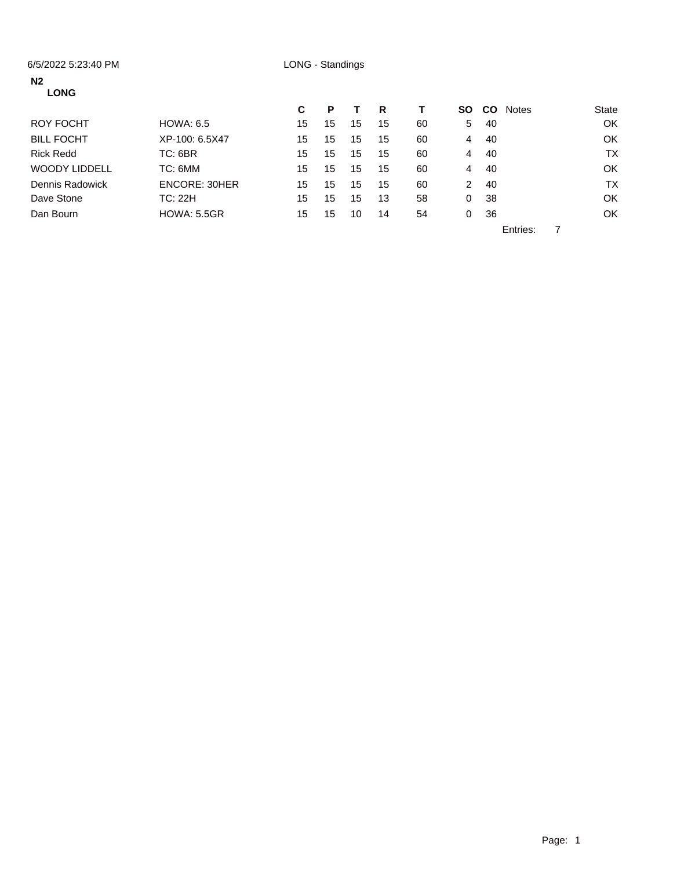### 6/5/2022 5:23:40 PM LONG - Standings

### **N2**

| <b>LONG</b>          |                    |    |    |    |    |    |    |           |              |           |
|----------------------|--------------------|----|----|----|----|----|----|-----------|--------------|-----------|
|                      |                    | C  | Р  |    | R  |    | SO | <b>CO</b> | <b>Notes</b> | State     |
| ROY FOCHT            | <b>HOWA: 6.5</b>   | 15 | 15 | 15 | 15 | 60 | 5. | 40        |              | OK        |
| <b>BILL FOCHT</b>    | XP-100: 6.5X47     | 15 | 15 | 15 | 15 | 60 | 4  | 40        |              | <b>OK</b> |
| <b>Rick Redd</b>     | TC: 6BR            | 15 | 15 | 15 | 15 | 60 | 4  | 40        |              | <b>TX</b> |
| <b>WOODY LIDDELL</b> | TC: 6MM            | 15 | 15 | 15 | 15 | 60 | 4  | 40        |              | <b>OK</b> |
| Dennis Radowick      | ENCORE: 30HER      | 15 | 15 | 15 | 15 | 60 | 2  | 40        |              | <b>TX</b> |
| Dave Stone           | <b>TC: 22H</b>     | 15 | 15 | 15 | 13 | 58 | 0  | 38        |              | <b>OK</b> |
| Dan Bourn            | <b>HOWA: 5.5GR</b> | 15 | 15 | 10 | 14 | 54 | 0  | 36        |              | OK        |
|                      |                    |    |    |    |    |    |    |           | $ -$         |           |

Entries: 7

Page: 1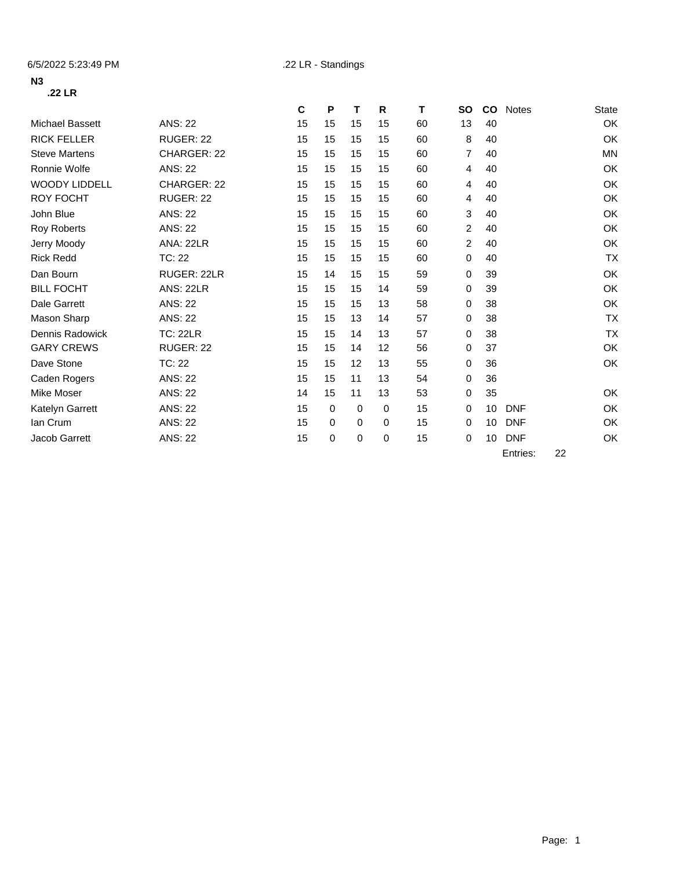### **N3 .22 LR**

|                        |                  | C  | P  | т  | R        | т  | <b>SO</b>      | <b>CO</b> | <b>Notes</b> | <b>State</b> |
|------------------------|------------------|----|----|----|----------|----|----------------|-----------|--------------|--------------|
| <b>Michael Bassett</b> | <b>ANS: 22</b>   | 15 | 15 | 15 | 15       | 60 | 13             | 40        |              | OK           |
| <b>RICK FELLER</b>     | RUGER: 22        | 15 | 15 | 15 | 15       | 60 | 8              | 40        |              | OK           |
| <b>Steve Martens</b>   | CHARGER: 22      | 15 | 15 | 15 | 15       | 60 | 7              | 40        |              | <b>MN</b>    |
| Ronnie Wolfe           | <b>ANS: 22</b>   | 15 | 15 | 15 | 15       | 60 | 4              | 40        |              | OK           |
| <b>WOODY LIDDELL</b>   | CHARGER: 22      | 15 | 15 | 15 | 15       | 60 | 4              | 40        |              | OK           |
| <b>ROY FOCHT</b>       | RUGER: 22        | 15 | 15 | 15 | 15       | 60 | 4              | 40        |              | OK           |
| John Blue              | <b>ANS: 22</b>   | 15 | 15 | 15 | 15       | 60 | 3              | 40        |              | OK           |
| Roy Roberts            | <b>ANS: 22</b>   | 15 | 15 | 15 | 15       | 60 | $\overline{2}$ | 40        |              | OK           |
| Jerry Moody            | <b>ANA: 22LR</b> | 15 | 15 | 15 | 15       | 60 | $\overline{2}$ | 40        |              | OK           |
| <b>Rick Redd</b>       | TC: 22           | 15 | 15 | 15 | 15       | 60 | 0              | 40        |              | <b>TX</b>    |
| Dan Bourn              | RUGER: 22LR      | 15 | 14 | 15 | 15       | 59 | $\Omega$       | 39        |              | OK           |
| <b>BILL FOCHT</b>      | <b>ANS: 22LR</b> | 15 | 15 | 15 | 14       | 59 | 0              | 39        |              | OK           |
| <b>Dale Garrett</b>    | <b>ANS: 22</b>   | 15 | 15 | 15 | 13       | 58 | 0              | 38        |              | OK           |
| Mason Sharp            | <b>ANS: 22</b>   | 15 | 15 | 13 | 14       | 57 | 0              | 38        |              | <b>TX</b>    |
| <b>Dennis Radowick</b> | <b>TC: 22LR</b>  | 15 | 15 | 14 | 13       | 57 | 0              | 38        |              | <b>TX</b>    |
| <b>GARY CREWS</b>      | <b>RUGER: 22</b> | 15 | 15 | 14 | 12       | 56 | 0              | 37        |              | OK           |
| Dave Stone             | TC: 22           | 15 | 15 | 12 | 13       | 55 | 0              | 36        |              | OK           |
| Caden Rogers           | <b>ANS: 22</b>   | 15 | 15 | 11 | 13       | 54 | 0              | 36        |              |              |
| Mike Moser             | <b>ANS: 22</b>   | 14 | 15 | 11 | 13       | 53 | 0              | 35        |              | OK           |
| Katelyn Garrett        | <b>ANS: 22</b>   | 15 | 0  | 0  | 0        | 15 | 0              | 10        | <b>DNF</b>   | OK           |
| lan Crum               | <b>ANS: 22</b>   | 15 | 0  | 0  | $\Omega$ | 15 | 0              | 10        | <b>DNF</b>   | OK           |
| Jacob Garrett          | <b>ANS: 22</b>   | 15 | 0  | 0  | 0        | 15 | 0              | 10        | <b>DNF</b>   | OK           |

Entries: 22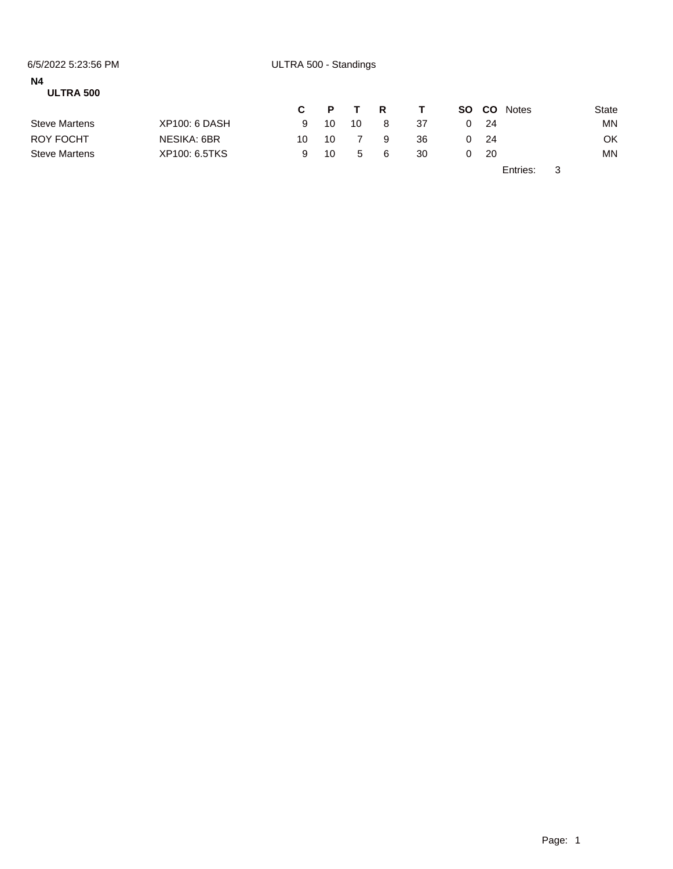| 6/5/2022 5:23:56 PM    |               | ULTRA 500 - Standings |    |              |   |    |     |           |              |   |       |
|------------------------|---------------|-----------------------|----|--------------|---|----|-----|-----------|--------------|---|-------|
| <b>N4</b><br>ULTRA 500 |               |                       |    |              |   |    |     |           |              |   |       |
|                        |               | C.                    | P. | $\mathbf{T}$ | R | T. | SO. | <b>CO</b> | <b>Notes</b> |   | State |
| <b>Steve Martens</b>   | XP100: 6 DASH | 9                     | 10 | 10           | 8 | 37 | 0   | - 24      |              |   | MN.   |
| <b>ROY FOCHT</b>       | NESIKA: 6BR   | 10                    | 10 |              | 9 | 36 | 0   | -24       |              |   | OK    |
| <b>Steve Martens</b>   | XP100: 6.5TKS | 9                     | 10 | 5            | 6 | 30 | 0   | -20       |              |   | ΜN    |
|                        |               |                       |    |              |   |    |     |           | Entries:     | 3 |       |